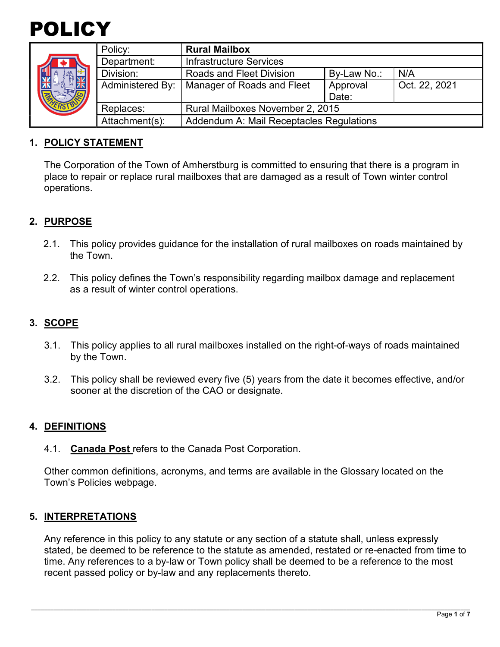

| <b>ARK</b> | Policy:          | <b>Rural Mailbox</b>                     |             |               |
|------------|------------------|------------------------------------------|-------------|---------------|
|            | Department:      | Infrastructure Services                  |             |               |
|            | Division:        | <b>Roads and Fleet Division</b>          | By-Law No.: | N/A           |
|            | Administered By: | Manager of Roads and Fleet               | Approval    | Oct. 22, 2021 |
|            |                  |                                          | Date:       |               |
|            | Replaces:        | Rural Mailboxes November 2, 2015         |             |               |
|            | Attachment(s):   | Addendum A: Mail Receptacles Regulations |             |               |

### **1. POLICY STATEMENT**

The Corporation of the Town of Amherstburg is committed to ensuring that there is a program in place to repair or replace rural mailboxes that are damaged as a result of Town winter control operations.

# **2. PURPOSE**

- 2.1. This policy provides guidance for the installation of rural mailboxes on roads maintained by the Town.
- 2.2. This policy defines the Town's responsibility regarding mailbox damage and replacement as a result of winter control operations.

### **3. SCOPE**

- 3.1. This policy applies to all rural mailboxes installed on the right-of-ways of roads maintained by the Town.
- 3.2. This policy shall be reviewed every five (5) years from the date it becomes effective, and/or sooner at the discretion of the CAO or designate.

#### **4. DEFINITIONS**

4.1. **Canada Post** refers to the Canada Post Corporation.

Other common definitions, acronyms, and terms are available in the Glossary located on the Town's Policies webpage.

#### **5. INTERPRETATIONS**

Any reference in this policy to any statute or any section of a statute shall, unless expressly stated, be deemed to be reference to the statute as amended, restated or re-enacted from time to time. Any references to a by-law or Town policy shall be deemed to be a reference to the most recent passed policy or by-law and any replacements thereto.

\_\_\_\_\_\_\_\_\_\_\_\_\_\_\_\_\_\_\_\_\_\_\_\_\_\_\_\_\_\_\_\_\_\_\_\_\_\_\_\_\_\_\_\_\_\_\_\_\_\_\_\_\_\_\_\_\_\_\_\_\_\_\_\_\_\_\_\_\_\_\_\_\_\_\_\_\_\_\_\_\_\_\_\_\_\_\_\_\_\_\_\_\_\_\_\_\_\_\_\_\_\_\_\_\_\_\_\_\_\_\_\_\_\_\_\_\_\_\_\_\_\_\_\_\_\_\_\_\_\_\_\_\_\_\_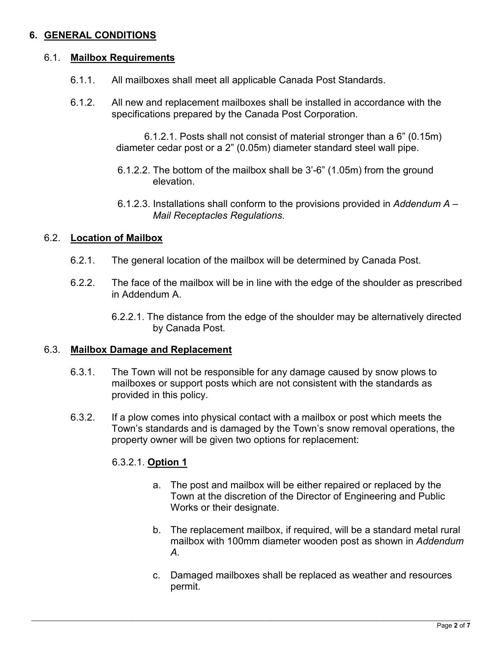# **6. GENERAL CONDITIONS**

#### 6.1. **Mailbox Requirements**

- 6.1.1. All mailboxes shall meet all applicable Canada Post Standards.
- 6.1.2. All new and replacement mailboxes shall be installed in accordance with the specifications prepared by the Canada Post Corporation.

6.1.2.1. Posts shall not consist of material stronger than a 6" (0.15m) diameter cedar post or a 2" (0.05m) diameter standard steel wall pipe.

- 6.1.2.2. The bottom of the mailbox shall be 3'-6" (1.05m) from the ground elevation.
- 6.1.2.3. Installations shall conform to the provisions provided in *Addendum A Mail Receptacles Regulations*.

# 6.2. **Location of Mailbox**

- 6.2.1. The general location of the mailbox will be determined by Canada Post.
- 6.2.2. The face of the mailbox will be in line with the edge of the shoulder as prescribed in Addendum A.
	- 6.2.2.1. The distance from the edge of the shoulder may be alternatively directed by Canada Post.

#### 6.3. **Mailbox Damage and Replacement**

- 6.3.1. The Town will not be responsible for any damage caused by snow plows to mailboxes or support posts which are not consistent with the standards as provided in this policy.
- 6.3.2. If a plow comes into physical contact with a mailbox or post which meets the Town's standards and is damaged by the Town's snow removal operations, the property owner will be given two options for replacement:

\_\_\_\_\_\_\_\_\_\_\_\_\_\_\_\_\_\_\_\_\_\_\_\_\_\_\_\_\_\_\_\_\_\_\_\_\_\_\_\_\_\_\_\_\_\_\_\_\_\_\_\_\_\_\_\_\_\_\_\_\_\_\_\_\_\_\_\_\_\_\_\_\_\_\_\_\_\_\_\_\_\_\_\_\_\_\_\_\_\_\_\_\_\_\_\_\_\_\_\_\_\_\_\_\_\_\_\_\_\_\_\_\_\_\_\_\_\_\_\_\_\_\_\_\_\_\_\_\_\_\_\_\_\_\_

#### 6.3.2.1. **Option 1**

- a. The post and mailbox will be either repaired or replaced by the Town at the discretion of the Director of Engineering and Public Works or their designate.
- b. The replacement mailbox, if required, will be a standard metal rural mailbox with 100mm diameter wooden post as shown in *Addendum A.*
- c. Damaged mailboxes shall be replaced as weather and resources permit.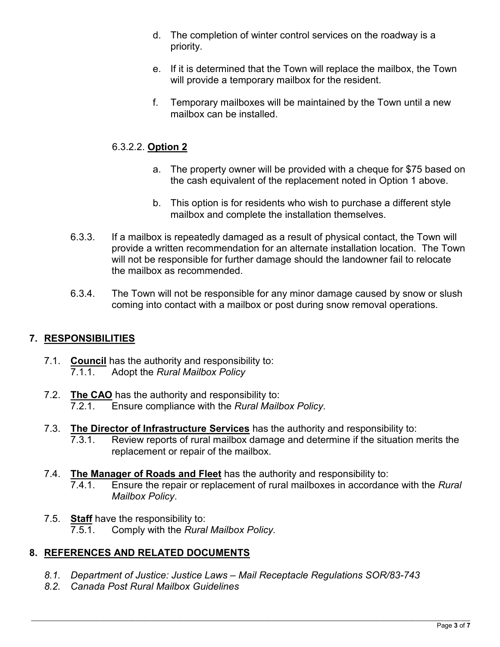- d. The completion of winter control services on the roadway is a priority.
- e. If it is determined that the Town will replace the mailbox, the Town will provide a temporary mailbox for the resident.
- f. Temporary mailboxes will be maintained by the Town until a new mailbox can be installed.

# 6.3.2.2. **Option 2**

- a. The property owner will be provided with a cheque for \$75 based on the cash equivalent of the replacement noted in Option 1 above.
- b. This option is for residents who wish to purchase a different style mailbox and complete the installation themselves.
- 6.3.3. If a mailbox is repeatedly damaged as a result of physical contact, the Town will provide a written recommendation for an alternate installation location. The Town will not be responsible for further damage should the landowner fail to relocate the mailbox as recommended.
- 6.3.4. The Town will not be responsible for any minor damage caused by snow or slush coming into contact with a mailbox or post during snow removal operations.

# **7. RESPONSIBILITIES**

- 7.1. **Council** has the authority and responsibility to: 7.1.1. Adopt the *Rural Mailbox Policy*
- 7.2. **The CAO** has the authority and responsibility to: 7.2.1. Ensure compliance with the *Rural Mailbox Policy*.
- 7.3. **The Director of Infrastructure Services** has the authority and responsibility to: 7.3.1. Review reports of rural mailbox damage and determine if the situation merits the replacement or repair of the mailbox.
- 7.4. **The Manager of Roads and Fleet** has the authority and responsibility to: 7.4.1. Ensure the repair or replacement of rural mailboxes in accordance with the *Rural Mailbox Policy*.
- 7.5. **Staff** have the responsibility to: 7.5.1. Comply with the *Rural Mailbox Policy.*

# **8. REFERENCES AND RELATED DOCUMENTS**

- *8.1. Department of Justice: Justice Laws Mail Receptacle Regulations SOR/83-743*
- *8.2. Canada Post Rural Mailbox Guidelines*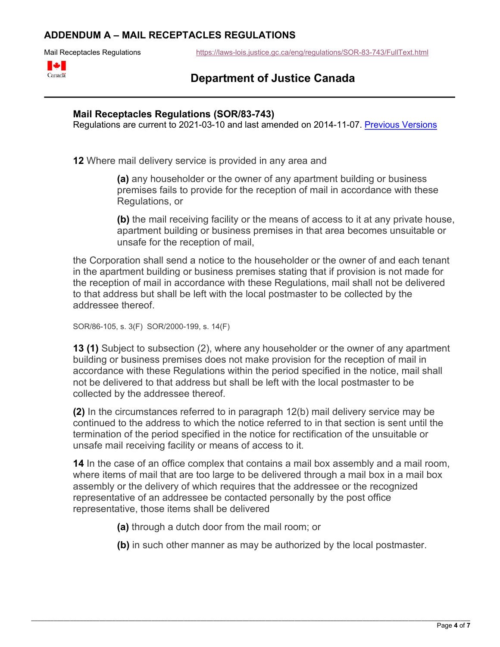### **ADDENDUM A – MAIL RECEPTACLES REGULATIONS**

Mail Receptacles Regulationshttps://laws-lois.justice.gc.ca/eng/regulations/SOR-83-743/FullText.html



# **Department of Justice Canada**

#### **Mail Receptacles Regulations (SOR/83-743)**

Regulations are current to 2021-03-10 and last amended on 2014-11-07. Previous Versions

**12** Where mail delivery service is provided in any area and

**(a)** any householder or the owner of any apartment building or business premises fails to provide for the reception of mail in accordance with these Regulations, or

**(b)** the mail receiving facility or the means of access to it at any private house, apartment building or business premises in that area becomes unsuitable or unsafe for the reception of mail,

the Corporation shall send a notice to the householder or the owner of and each tenant in the apartment building or business premises stating that if provision is not made for the reception of mail in accordance with these Regulations, mail shall not be delivered to that address but shall be left with the local postmaster to be collected by the addressee thereof.

```
SOR/86-105, s. 3(F) SOR/2000-199, s. 14(F)
```
**13 (1)** Subject to subsection (2), where any householder or the owner of any apartment building or business premises does not make provision for the reception of mail in accordance with these Regulations within the period specified in the notice, mail shall not be delivered to that address but shall be left with the local postmaster to be collected by the addressee thereof.

**(2)** In the circumstances referred to in paragraph 12(b) mail delivery service may be continued to the address to which the notice referred to in that section is sent until the termination of the period specified in the notice for rectification of the unsuitable or unsafe mail receiving facility or means of access to it.

**14** In the case of an office complex that contains a mail box assembly and a mail room, where items of mail that are too large to be delivered through a mail box in a mail box assembly or the delivery of which requires that the addressee or the recognized representative of an addressee be contacted personally by the post office representative, those items shall be delivered

**(a)** through a dutch door from the mail room; or

**(b)** in such other manner as may be authorized by the local postmaster.

\_\_\_\_\_\_\_\_\_\_\_\_\_\_\_\_\_\_\_\_\_\_\_\_\_\_\_\_\_\_\_\_\_\_\_\_\_\_\_\_\_\_\_\_\_\_\_\_\_\_\_\_\_\_\_\_\_\_\_\_\_\_\_\_\_\_\_\_\_\_\_\_\_\_\_\_\_\_\_\_\_\_\_\_\_\_\_\_\_\_\_\_\_\_\_\_\_\_\_\_\_\_\_\_\_\_\_\_\_\_\_\_\_\_\_\_\_\_\_\_\_\_\_\_\_\_\_\_\_\_\_\_\_\_\_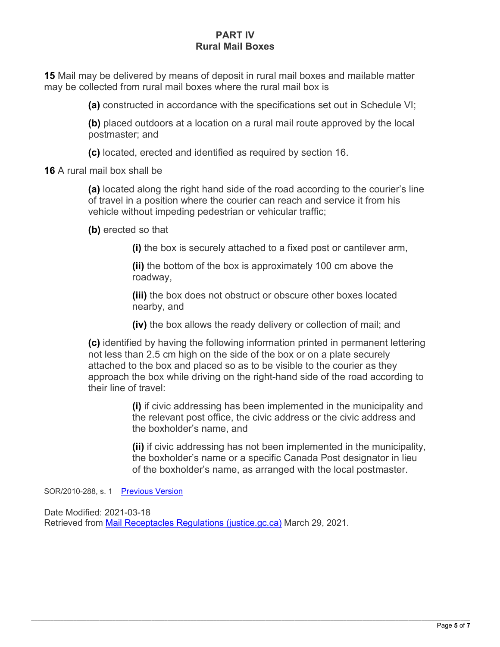### **PART IV Rural Mail Boxes**

**15** Mail may be delivered by means of deposit in rural mail boxes and mailable matter may be collected from rural mail boxes where the rural mail box is

**(a)** constructed in accordance with the specifications set out in Schedule VI;

**(b)** placed outdoors at a location on a rural mail route approved by the local postmaster; and

**(c)** located, erected and identified as required by section 16.

**16** A rural mail box shall be

**(a)** located along the right hand side of the road according to the courier's line of travel in a position where the courier can reach and service it from his vehicle without impeding pedestrian or vehicular traffic;

**(b)** erected so that

**(i)** the box is securely attached to a fixed post or cantilever arm,

**(ii)** the bottom of the box is approximately 100 cm above the roadway,

**(iii)** the box does not obstruct or obscure other boxes located nearby, and

**(iv)** the box allows the ready delivery or collection of mail; and

**(c)** identified by having the following information printed in permanent lettering not less than 2.5 cm high on the side of the box or on a plate securely attached to the box and placed so as to be visible to the courier as they approach the box while driving on the right-hand side of the road according to their line of travel:

> **(i)** if civic addressing has been implemented in the municipality and the relevant post office, the civic address or the civic address and the boxholder's name, and

> **(ii)** if civic addressing has not been implemented in the municipality, the boxholder's name or a specific Canada Post designator in lieu of the boxholder's name, as arranged with the local postmaster.

SOR/2010-288, s. 1 Previous Version

Date Modified: 2021-03-18 Retrieved from Mail Receptacles Regulations (justice.gc.ca) March 29, 2021.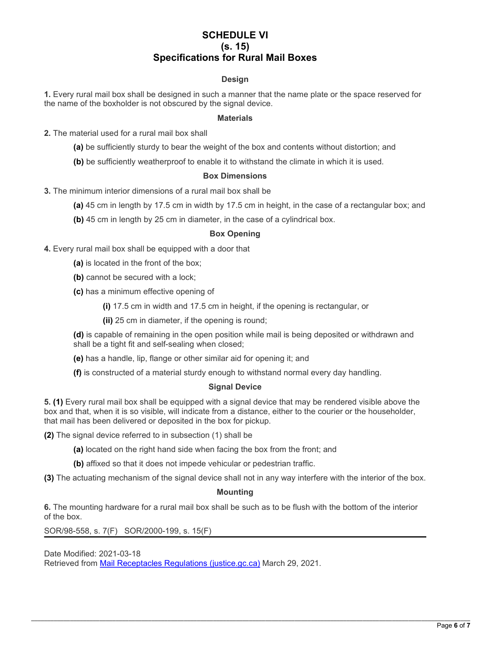#### **SCHEDULE VI (s. 15) Specifications for Rural Mail Boxes**

#### **Design**

**1.** Every rural mail box shall be designed in such a manner that the name plate or the space reserved for the name of the boxholder is not obscured by the signal device.

#### **Materials**

- **2.** The material used for a rural mail box shall
	- **(a)** be sufficiently sturdy to bear the weight of the box and contents without distortion; and
	- **(b)** be sufficiently weatherproof to enable it to withstand the climate in which it is used.

#### **Box Dimensions**

- **3.** The minimum interior dimensions of a rural mail box shall be
	- **(a)** 45 cm in length by 17.5 cm in width by 17.5 cm in height, in the case of a rectangular box; and
	- **(b)** 45 cm in length by 25 cm in diameter, in the case of a cylindrical box.

#### **Box Opening**

- **4.** Every rural mail box shall be equipped with a door that
	- **(a)** is located in the front of the box;
	- **(b)** cannot be secured with a lock;
	- **(c)** has a minimum effective opening of
		- **(i)** 17.5 cm in width and 17.5 cm in height, if the opening is rectangular, or
		- **(ii)** 25 cm in diameter, if the opening is round;

**(d)** is capable of remaining in the open position while mail is being deposited or withdrawn and shall be a tight fit and self-sealing when closed;

- **(e)** has a handle, lip, flange or other similar aid for opening it; and
- **(f)** is constructed of a material sturdy enough to withstand normal every day handling.

#### **Signal Device**

**5. (1)** Every rural mail box shall be equipped with a signal device that may be rendered visible above the box and that, when it is so visible, will indicate from a distance, either to the courier or the householder, that mail has been delivered or deposited in the box for pickup.

- **(2)** The signal device referred to in subsection (1) shall be
	- **(a)** located on the right hand side when facing the box from the front; and
	- **(b)** affixed so that it does not impede vehicular or pedestrian traffic.
- **(3)** The actuating mechanism of the signal device shall not in any way interfere with the interior of the box.

#### **Mounting**

**6.** The mounting hardware for a rural mail box shall be such as to be flush with the bottom of the interior of the box.

SOR/98-558, s. 7(F) SOR/2000-199, s. 15(F)

Date Modified: 2021-03-18 Retrieved from Mail Receptacles Regulations (justice.gc.ca) March 29, 2021.